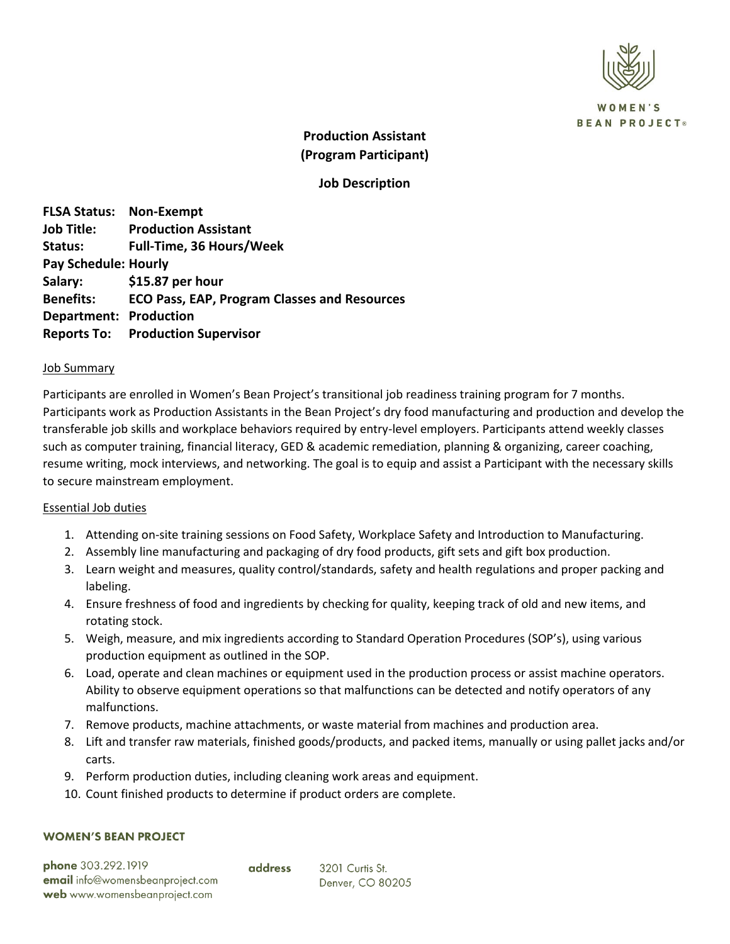

**OMEN'S BEAN PROJECT®** 

# **Production Assistant (Program Participant)**

# **Job Description**

**FLSA Status: Non-Exempt Job Title: Production Assistant Status: Full-Time, 36 Hours/Week Pay Schedule: Hourly Salary: \$15.87 per hour Benefits: ECO Pass, EAP, Program Classes and Resources Department: Production Reports To: Production Supervisor**

#### Job Summary

Participants are enrolled in Women's Bean Project's transitional job readiness training program for 7 months. Participants work as Production Assistants in the Bean Project's dry food manufacturing and production and develop the transferable job skills and workplace behaviors required by entry-level employers. Participants attend weekly classes such as computer training, financial literacy, GED & academic remediation, planning & organizing, career coaching, resume writing, mock interviews, and networking. The goal is to equip and assist a Participant with the necessary skills to secure mainstream employment.

## Essential Job duties

- 1. Attending on-site training sessions on Food Safety, Workplace Safety and Introduction to Manufacturing.
- 2. Assembly line manufacturing and packaging of dry food products, gift sets and gift box production.
- 3. Learn weight and measures, quality control/standards, safety and health regulations and proper packing and labeling.
- 4. Ensure freshness of food and ingredients by checking for quality, keeping track of old and new items, and rotating stock.
- 5. Weigh, measure, and mix ingredients according to Standard Operation Procedures (SOP's), using various production equipment as outlined in the SOP.
- 6. Load, operate and clean machines or equipment used in the production process or assist machine operators. Ability to observe equipment operations so that malfunctions can be detected and notify operators of any malfunctions.
- 7. Remove products, machine attachments, or waste material from machines and production area.
- 8. Lift and transfer raw materials, finished goods/products, and packed items, manually or using pallet jacks and/or carts.
- 9. Perform production duties, including cleaning work areas and equipment.
- 10. Count finished products to determine if product orders are complete.

#### **WOMEN'S BEAN PROJECT**

phone 303.292.1919 **email** info@womensbeanproject.com web www.womensbeanproject.com

address

3201 Curtis St. Denver, CO 80205